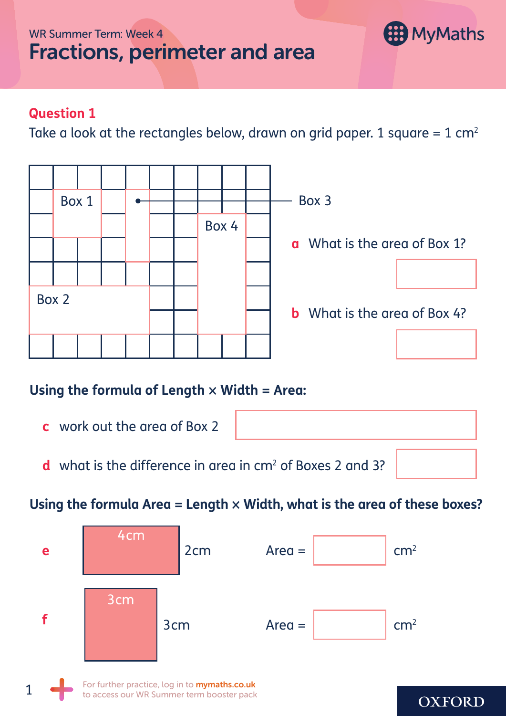# Fractions, perimeter and area



## **Question 1**

Take a look at the rectangles below, drawn on grid paper. 1 square =  $1 cm<sup>2</sup>$ 



# **Using the formula of Length** × **Width** = **Area:**

- **c** work out the area of Box 2
- **d** what is the difference in area in cm<sup>2</sup> of Boxes 2 and 3?

# **Using the formula Area** = **Length** × **Width, what is the area of these boxes?**

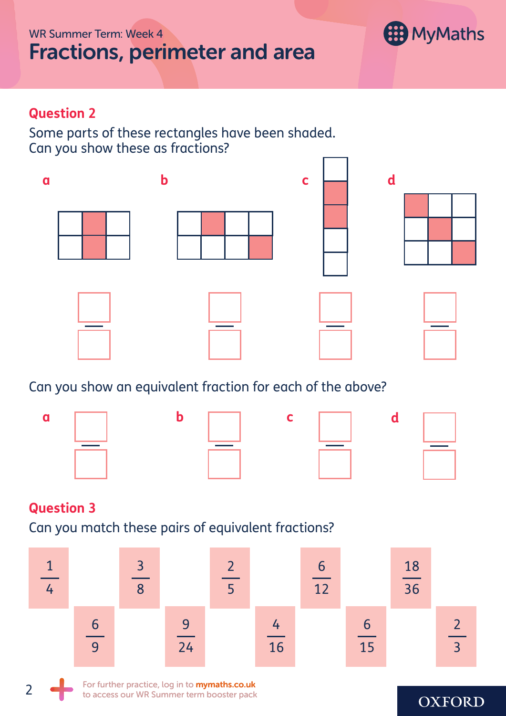#### WR Summer Term: Week 4

# Fractions, perimeter and area



#### **Question 2**

Some parts of these rectangles have been shaded. Can you show these as fractions?



## Can you show an equivalent fraction for each of the above?



#### **Question 3**

2

Can you match these pairs of equivalent fractions?



For further practice, log in to **mymaths.co.uk** to access our WR Summer term booster pack

#### **OXFORD**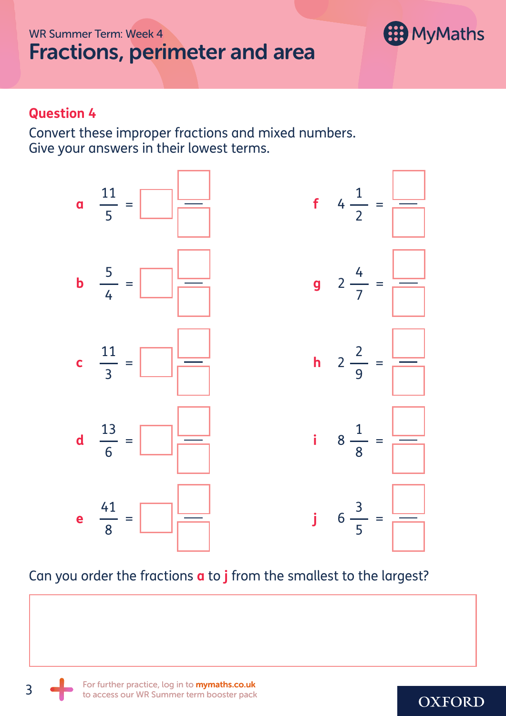WR Summer Term: Week 4

# Fractions, perimeter and area



#### **Question 4**

Convert these improper fractions and mixed numbers. Give your answers in their lowest terms.



### Can you order the fractions **a** to **j** from the smallest to the largest?

3

## **OXFORD**